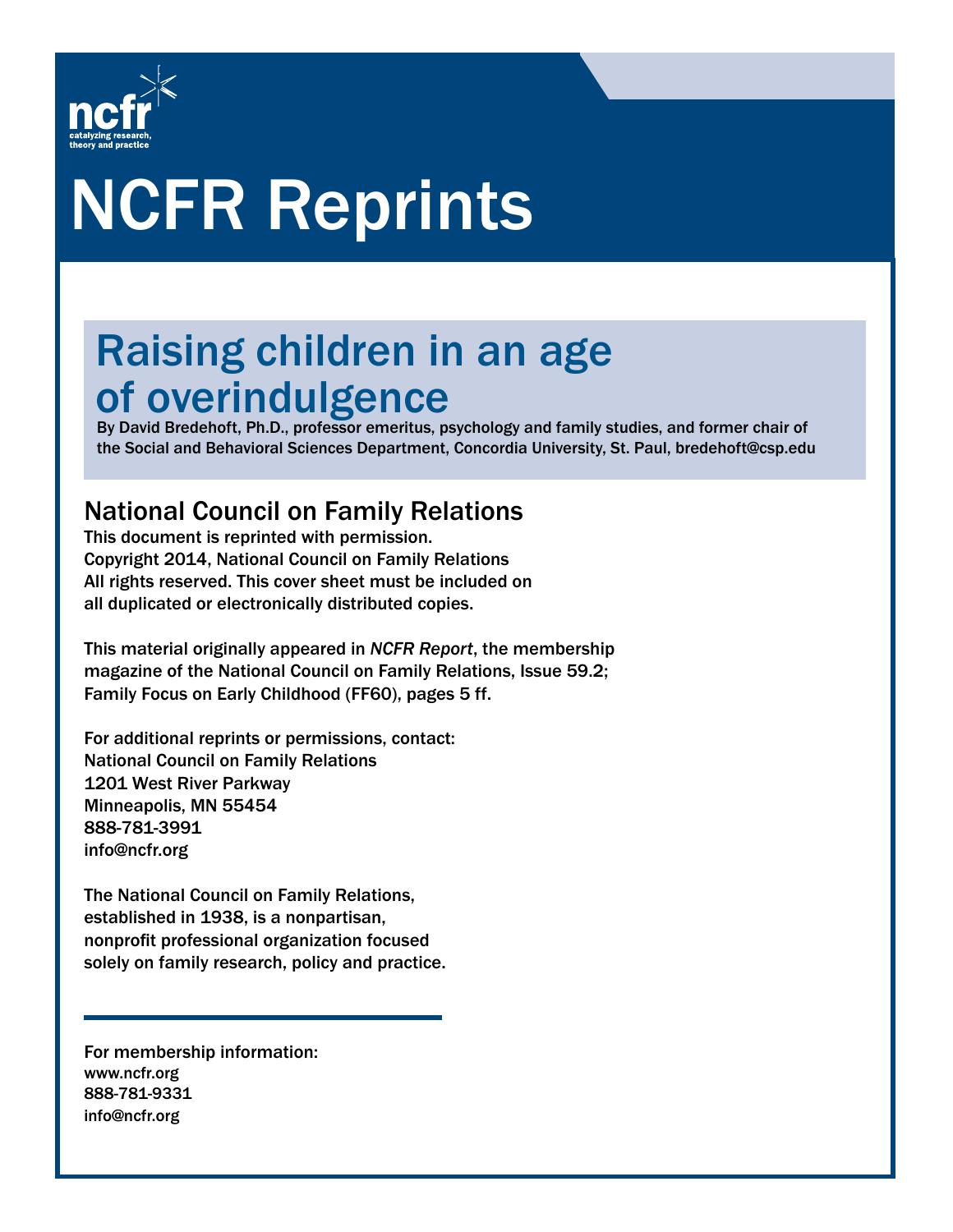

# NCFR Reprints

# Raising children in an age of overindulgence

 By David Bredehoft, Ph.D., professor emeritus, psychology and family studies, and former chair of the Social and Behavioral Sciences Department, Concordia University, St. Paul, bredehoft@csp.edu

### National Council on Family Relations

This document is reprinted with permission. Copyright 2014, National Council on Family Relations All rights reserved. This cover sheet must be included on all duplicated or electronically distributed copies.

This material originally appeared in *NCFR Report*, the membership magazine of the National Council on Family Relations, Issue 59.2; Family Focus on Early Childhood (FF60), pages 5 ff.

For additional reprints or permissions, contact: National Council on Family Relations 1201 West River Parkway Minneapolis, MN 55454 888-781-3991 info@ncfr.org

The National Council on Family Relations, established in 1938, is a nonpartisan, nonprofit professional organization focused solely on family research, policy and practice.

For membership information: www.ncfr.org 888-781-9331 info@ncfr.org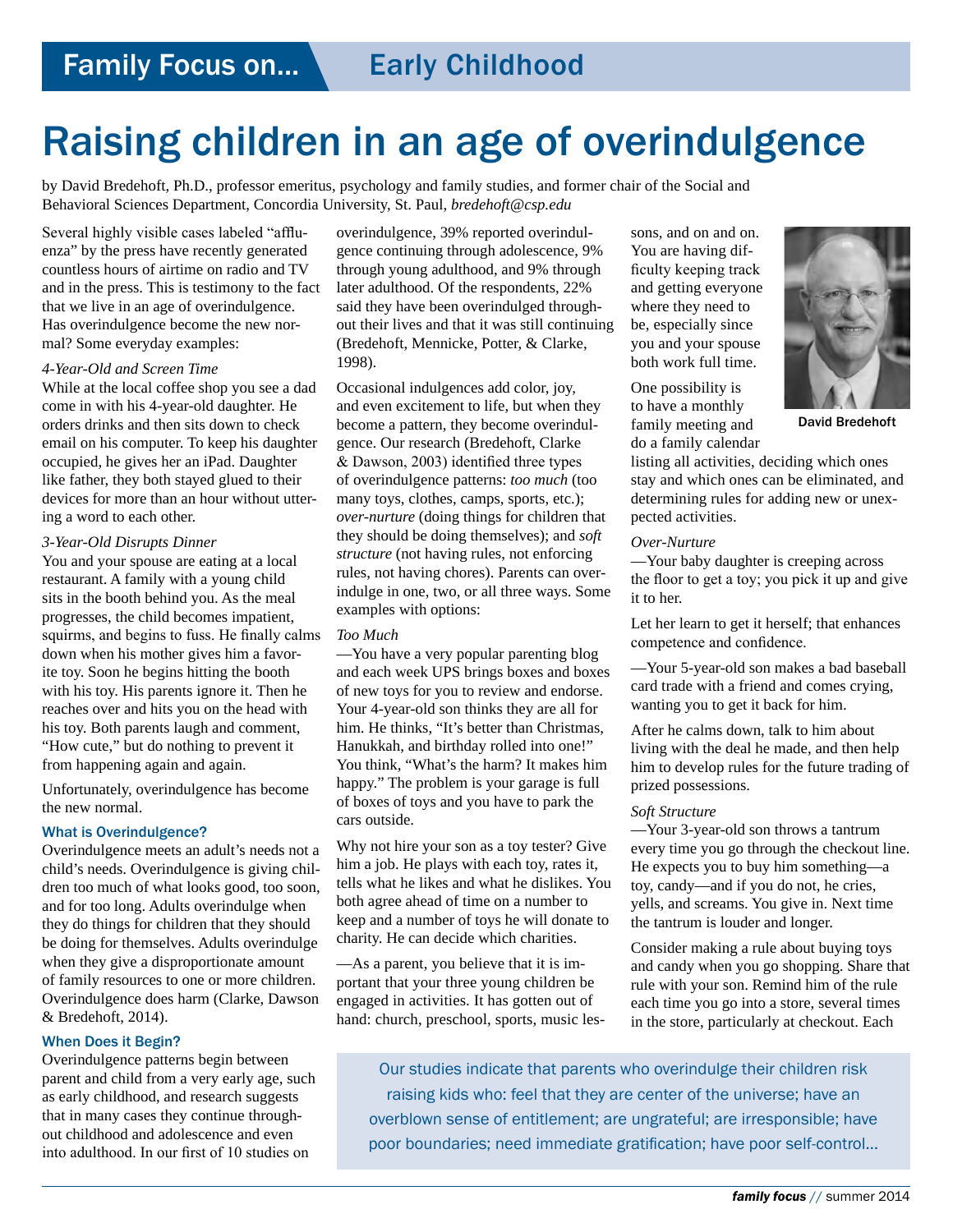## Raising children in an age of overindulgence

by David Bredehoft, Ph.D., professor emeritus, psychology and family studies, and former chair of the Social and Behavioral Sciences Department, Concordia University, St. Paul, *bredehoft@csp.edu*

Several highly visible cases labeled "affluenza" by the press have recently generated countless hours of airtime on radio and TV and in the press. This is testimony to the fact that we live in an age of overindulgence. Has overindulgence become the new normal? Some everyday examples:

#### *4-Year-Old and Screen Time*

While at the local coffee shop you see a dad come in with his 4-year-old daughter. He orders drinks and then sits down to check email on his computer. To keep his daughter occupied, he gives her an iPad. Daughter like father, they both stayed glued to their devices for more than an hour without uttering a word to each other.

#### *3-Year-Old Disrupts Dinner*

You and your spouse are eating at a local restaurant. A family with a young child sits in the booth behind you. As the meal progresses, the child becomes impatient, squirms, and begins to fuss. He finally calms down when his mother gives him a favorite toy. Soon he begins hitting the booth with his toy. His parents ignore it. Then he reaches over and hits you on the head with his toy. Both parents laugh and comment, "How cute," but do nothing to prevent it from happening again and again.

Unfortunately, overindulgence has become the new normal.

#### What is Overindulgence?

Overindulgence meets an adult's needs not a child's needs. Overindulgence is giving children too much of what looks good, too soon, and for too long. Adults overindulge when they do things for children that they should be doing for themselves. Adults overindulge when they give a disproportionate amount of family resources to one or more children. Overindulgence does harm (Clarke, Dawson & Bredehoft, 2014).

#### When Does it Begin?

Overindulgence patterns begin between parent and child from a very early age, such as early childhood, and research suggests that in many cases they continue throughout childhood and adolescence and even into adulthood. In our first of 10 studies on

overindulgence, 39% reported overindulgence continuing through adolescence, 9% through young adulthood, and 9% through later adulthood. Of the respondents, 22% said they have been overindulged throughout their lives and that it was still continuing (Bredehoft, Mennicke, Potter, & Clarke, 1998).

Occasional indulgences add color, joy, and even excitement to life, but when they become a pattern, they become overindulgence. Our research (Bredehoft, Clarke & Dawson, 2003) identified three types of overindulgence patterns: *too much* (too many toys, clothes, camps, sports, etc.); *over-nurture* (doing things for children that they should be doing themselves); and *soft structure* (not having rules, not enforcing rules, not having chores). Parents can overindulge in one, two, or all three ways. Some examples with options:

#### *Too Much*

—You have a very popular parenting blog and each week UPS brings boxes and boxes of new toys for you to review and endorse. Your 4-year-old son thinks they are all for him. He thinks, "It's better than Christmas, Hanukkah, and birthday rolled into one!" You think, "What's the harm? It makes him happy." The problem is your garage is full of boxes of toys and you have to park the cars outside.

Why not hire your son as a toy tester? Give him a job. He plays with each toy, rates it, tells what he likes and what he dislikes. You both agree ahead of time on a number to keep and a number of toys he will donate to charity. He can decide which charities.

—As a parent, you believe that it is important that your three young children be engaged in activities. It has gotten out of hand: church, preschool, sports, music les-

sons, and on and on. You are having difficulty keeping track and getting everyone where they need to be, especially since you and your spouse both work full time.

One possibility is to have a monthly family meeting and do a family calendar



David Bredehoft

listing all activities, deciding which ones stay and which ones can be eliminated, and determining rules for adding new or unexpected activities.

#### *Over-Nurture*

—Your baby daughter is creeping across the floor to get a toy; you pick it up and give it to her.

Let her learn to get it herself; that enhances competence and confidence.

—Your 5-year-old son makes a bad baseball card trade with a friend and comes crying, wanting you to get it back for him.

After he calms down, talk to him about living with the deal he made, and then help him to develop rules for the future trading of prized possessions.

#### *Soft Structure*

—Your 3-year-old son throws a tantrum every time you go through the checkout line. He expects you to buy him something—a toy, candy—and if you do not, he cries, yells, and screams. You give in. Next time the tantrum is louder and longer.

Consider making a rule about buying toys and candy when you go shopping. Share that rule with your son. Remind him of the rule each time you go into a store, several times in the store, particularly at checkout. Each

Our studies indicate that parents who overindulge their children risk raising kids who: feel that they are center of the universe; have an overblown sense of entitlement; are ungrateful; are irresponsible; have poor boundaries; need immediate gratification; have poor self-control…